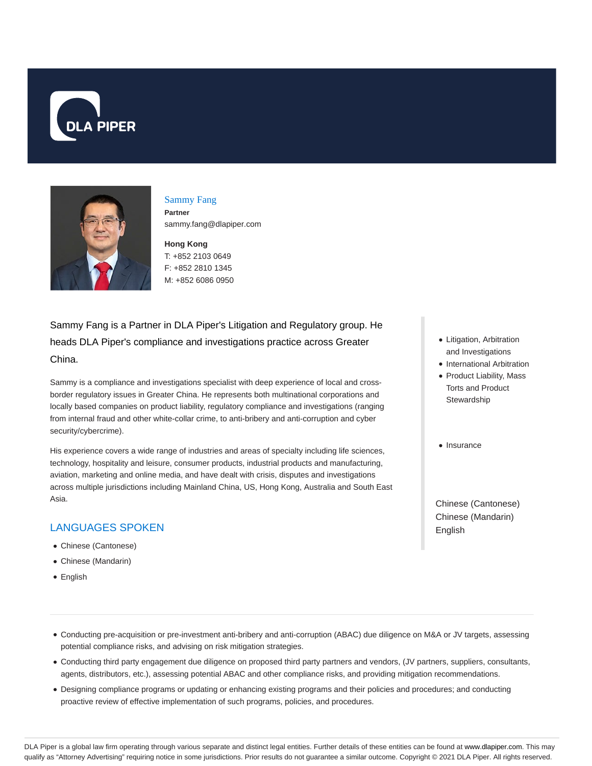



#### Sammy Fang **Partner**

sammy.fang@dlapiper.com

## **Hong Kong** T: +852 2103 0649 F: +852 2810 1345 M: +852 6086 0950

Sammy Fang is a Partner in DLA Piper's Litigation and Regulatory group. He heads DLA Piper's compliance and investigations practice across Greater China.

Sammy is a compliance and investigations specialist with deep experience of local and crossborder regulatory issues in Greater China. He represents both multinational corporations and locally based companies on product liability, regulatory compliance and investigations (ranging from internal fraud and other white-collar crime, to anti-bribery and anti-corruption and cyber security/cybercrime).

His experience covers a wide range of industries and areas of specialty including life sciences, technology, hospitality and leisure, consumer products, industrial products and manufacturing, aviation, marketing and online media, and have dealt with crisis, disputes and investigations across multiple jurisdictions including Mainland China, US, Hong Kong, Australia and South East Asia.

# LANGUAGES SPOKEN

- Chinese (Cantonese)
- Chinese (Mandarin)
- English
- Litigation, Arbitration and Investigations
- International Arbitration
- Product Liability, Mass Torts and Product Stewardship
- · Insurance

Chinese (Cantonese) Chinese (Mandarin) English

- Conducting pre-acquisition or pre-investment anti-bribery and anti-corruption (ABAC) due diligence on M&A or JV targets, assessing potential compliance risks, and advising on risk mitigation strategies.
- Conducting third party engagement due diligence on proposed third party partners and vendors, (JV partners, suppliers, consultants, agents, distributors, etc.), assessing potential ABAC and other compliance risks, and providing mitigation recommendations.
- Designing compliance programs or updating or enhancing existing programs and their policies and procedures; and conducting proactive review of effective implementation of such programs, policies, and procedures.

DLA Piper is a global law firm operating through various separate and distinct legal entities. Further details of these entities can be found at www.dlapiper.com. This may qualify as "Attorney Advertising" requiring notice in some jurisdictions. Prior results do not guarantee a similar outcome. Copyright @ 2021 DLA Piper. All rights reserved.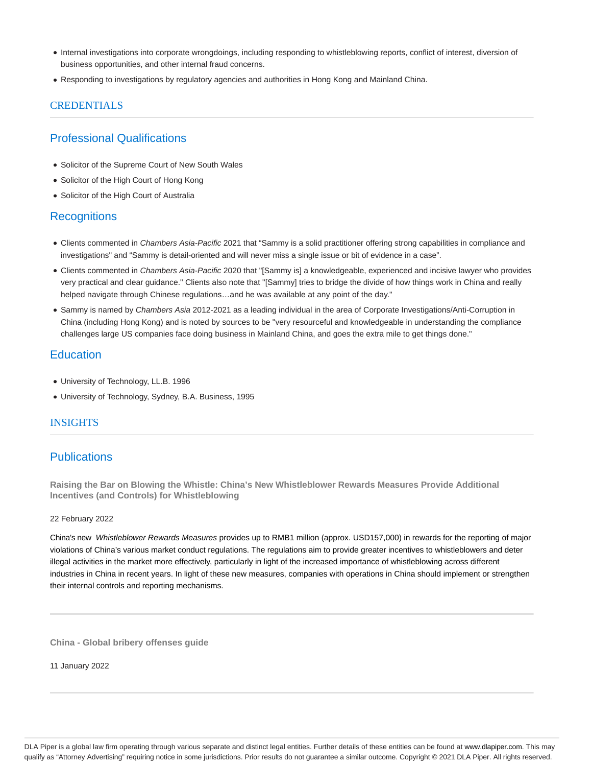- Internal investigations into corporate wrongdoings, including responding to whistleblowing reports, conflict of interest, diversion of business opportunities, and other internal fraud concerns.
- Responding to investigations by regulatory agencies and authorities in Hong Kong and Mainland China.

### CREDENTIALS

## Professional Qualifications

- Solicitor of the Supreme Court of New South Wales
- Solicitor of the High Court of Hong Kong
- Solicitor of the High Court of Australia

## **Recognitions**

- Clients commented in Chambers Asia-Pacific 2021 that "Sammy is a solid practitioner offering strong capabilities in compliance and investigations" and "Sammy is detail-oriented and will never miss a single issue or bit of evidence in a case".
- Clients commented in Chambers Asia-Pacific 2020 that "[Sammy is] a knowledgeable, experienced and incisive lawyer who provides very practical and clear guidance." Clients also note that "[Sammy] tries to bridge the divide of how things work in China and really helped navigate through Chinese regulations…and he was available at any point of the day."
- Sammy is named by Chambers Asia 2012-2021 as a leading individual in the area of Corporate Investigations/Anti-Corruption in China (including Hong Kong) and is noted by sources to be "very resourceful and knowledgeable in understanding the compliance challenges large US companies face doing business in Mainland China, and goes the extra mile to get things done."

## **Education**

- University of Technology, LL.B. 1996
- University of Technology, Sydney, B.A. Business, 1995

## **INSIGHTS**

# **Publications**

**Raising the Bar on Blowing the Whistle: China's New Whistleblower Rewards Measures Provide Additional Incentives (and Controls) for Whistleblowing**

#### 22 February 2022

China's new Whistleblower Rewards Measures provides up to RMB1 million (approx. USD157,000) in rewards for the reporting of major violations of China's various market conduct regulations. The regulations aim to provide greater incentives to whistleblowers and deter illegal activities in the market more effectively, particularly in light of the increased importance of whistleblowing across different industries in China in recent years. In light of these new measures, companies with operations in China should implement or strengthen their internal controls and reporting mechanisms.

**China - Global bribery offenses guide**

11 January 2022

DLA Piper is a global law firm operating through various separate and distinct legal entities. Further details of these entities can be found at www.dlapiper.com. This may qualify as "Attorney Advertising" requiring notice in some jurisdictions. Prior results do not guarantee a similar outcome. Copyright © 2021 DLA Piper. All rights reserved.